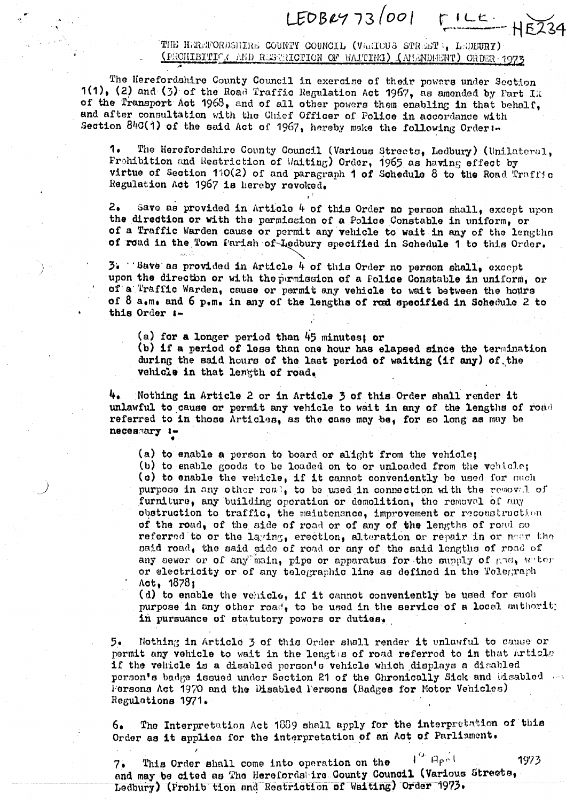THE HEREFORDSHIRE COUNTY COUNCIL (VARIOUS STREET :, LEDEURY)  $($  FROILLETTIF  $_A$  and RESTRIGTION OF WAITING)  $($  AMANDMENT) ORDER 1973

 $LEOB2973 |001$   $FILE-HE234$ 

The Herefordshire County Council in exercise of their powers under Section 1(1), (2) and (3) of the Road Traffic Regulation Act 1967, as amended by Part IX of the Transport Act  $1968$ , and of all other powers them enabling in that behalf, and after consultation with the Chief Officer of Police in accordance with Section  $840(1)$  of the said Act of 1967, hereby make the following Order:-

1e The Herefordshire County Council (Various Streota, hedbuxy) (llnilnternl, Prohibition and Restriction of 'Iaiting) Order, 1965 as having effect by virtue of Section 110(2) of and paragraph  $\dot{\mathbf{1}}$  of Schedule 8 to the Road Traffic Regulation Act 1967 is hereby revolted,

 $2.5$  ave as provided in Article 4 of this Order no person shall, except upon the diredtion or with the permission of a Police Constable in uniform, or of a Traffic Warden cause or permit any vehicle to wait in any of the lengths of road in the Town Parish of Ledbury specified in Schedule 1 to this Order.

 $3$ . 'Save as provided in Article 4 of this Order no person shall, except upon the direction or with the permission of a Folice Constable in uniform, or of a Traffic Warden, cause or permit any vehicle to wait between the hours of  $8$  a.m. and  $6$  p.m. in any of the lengths of road specified in Schedule 2 to this Order :-

(a) for a longer period than  $45$  minutes; or (b) if a period of less than one hour has elapsed since the termination during the said hours of the last period of waiting (if any) of the vehicle in that length of road.

4e Nothing in Article 2 or in Article 3 of this Order shall render it unlawful to cause or permit any vehicle to wait in any of the lengths of road referred to in those Articles, as the case may be, for so long as may be. necessary  $\cdots$ 

(a) to enable a person to board or alight from the vehicle; (b) to enable goods to be loaded on to or unloaded from the vehicle;  $(a)$  to enable the vehicle, if it cannot conveniently be used for such purpose in any other roal, to be used in connection with the removal of furniture, any building operation or demolition, the removal of any obstruction to traffic, the maintenance, improvement or reconstruction of the road, of the side of road or of any of the lengths of road so referred to or the laying, erection, alteration or repair in or near the said road, the said side of road or any of the said lengths of road of any sewer or of any main, pipe or apparatus for the supply of  $_{\rm CMB}$ , witer or electricity or of any telegraphic line as defined in the Telegraph Act, 1878 ;

(d) to enable the vehicle, if it cannot conveniently be used for such purpose in any other road, to be used in the service of a local authorit; in pursuance of statutory powers or duties.

5. Nothing in Article 3 of this Order shall render it unlawful to cause or permit any vehicle to wait in the lengths of road referred to in that Article if the vehicle is a disabled person's vehicle which displays a disabled person's badge issued under Section 21 of the Chronically Sick and Disabled Fersons Act 1970 and the Disabled Persons (Badges for Motor Vehicles) Regulations 1971.

6. The Interpretation Act 1889 shall apply for the interpretation of this Order as it applies for the interpretation of an Act of Parliament.

7. This Order shall come into operation on the  $I^{\text{G}}$  April 1973 and may be cited as The Herefords ire County Council (Various Streets, Ledbury) (Frohib tion and Restriction of Waiting) Order 1973.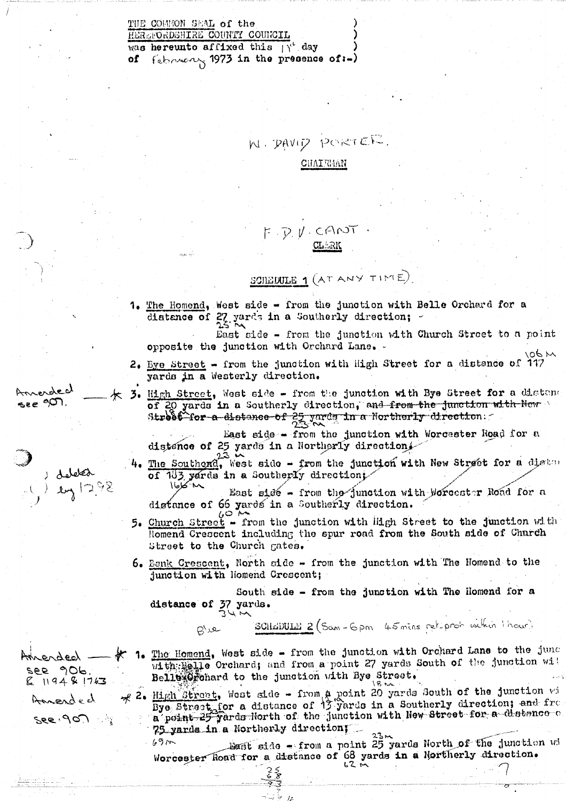THE COMMON SEAL of the HEREFORDSHIRE COUNTY COUNCIL was hereunto affixed this  $\int_1^{x} \, dx$ of  $\{$ showing 1973 in the presence of:-)

N PAVID PORTER

**CHAIRMAN** 

## F. D.V. CANT

SCIEDULE 1 (AT ANY TIME)

1. The Homend, West side - from the junction with Belle Orchard for a distance of 27 yards in a Southerly direction;

East side - from the junction with Church Street to a point opposite the junction with Orchard Lane.

- 2. Eye Street from the junction with High Street for a distance of 117 yards in a Westerly direction.
- 3. High Street, West side from the junction with Bye Street for a distance of 20 yards in a Southerly direction, and from the junction with New Street for a distance of 25 yards in a Northerly direction.

East side - from the junction with Worcester Road for a distance of 25 yards in a Northerly direction.

The Southerd, West side - from the junction with New Street for a distant of 183 yards in a Southerly direction;

East side - from the junction with Worcester Road for a distance of 66 yards in a Southerly direction.

- 5. Church Street from the junction with High Street to the junction with Homend Crescent including the spur road from the South side of Charch Street to the Church gates.
- 6. Bank Crescent, North side from the junction with The Homend to the junction with Homend Crescent;

South side - from the junction with The Homend for a distance of 37 yards.

> SCILEDULE 2 (Sam-6 pm 45 mins ret. proh within thour) ے راج

1. The Homend, West side - from the junction with Orchard Lane to the junc with Helle Orchard; and from a point 27 yards South of the junction will Belle Cohard to the junction with Bye Street,

 $\mathcal{R}$  2. High Street, West side - from a point 20 yards South of the junction will bye Street, for a distance of 13 yards in a Southerly direction; and from a point 25 yards Horth of the junction with New Street for a 75 yarda in a Northerly direction;

Bast side - from a point 25 yards North of the junction wi  $69m$ Worcester Road for a distance of 68 yards in a Northerly direction.

روبري*ا*و درا ,<sub>೬೬</sub> ೨೦೧

فمصلهل  $241298$ 

merded

see 906.

 $119481763$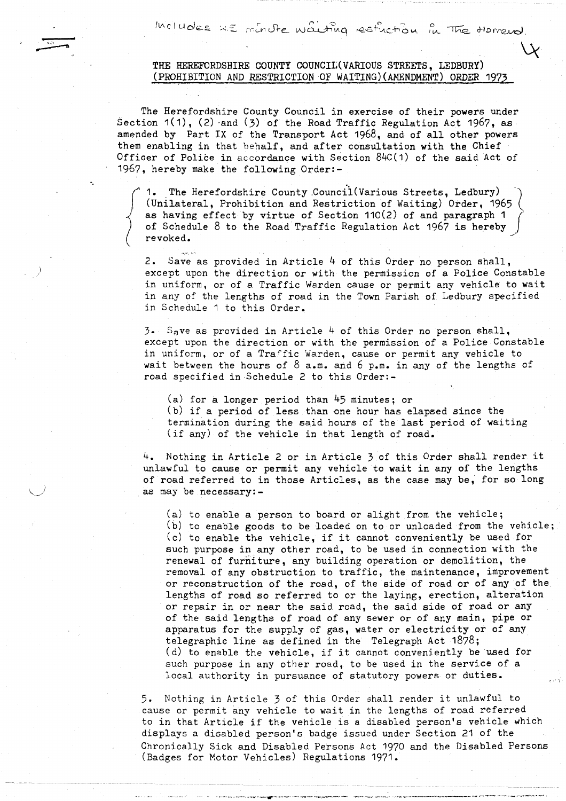$|$  Includes  $x \in \mathbb{R}$  in the  $\omega$  and  $\omega$  in the  $\omega$  of  $\omega$  .

## THE HEREFORDSHIRE COUNTY COUNCIL(VARIOUS STREETS, LEDBURY) (PROHIBITION AND RESTRICTION OF WAITING)(AMENDMENT) ORDER 1973

The Herefordshire County Council in exercise of their powers under Section 1(1), (2) -and (3) of the Road Traffic Regulation Act 1967, as amended by Part IX of the Transport Act 1968, and of all other powers them enabling in that behalf, and after consultation with the Chief Officer of Police in accordance with Section 84C(1) of the said Act of 1967, hereby make the following Order:-

The Herefordshire County Council (Various Streets, Ledbury) (Unilateral, Prohibition and Restriction of Waiting) Order, 1965 as having effect by virtue of Section 110(2) of and paragraph <sup>1</sup> of Schedule 8 to the Road Traffic Regulation Act 1967 is hereby revoked .

ن<br>الأنه الطرق

2. Save as provided in Article  $4$  of this Order no person shall, except upon the direction or with the permission of a Police Constable in uniform, or of a Traffic Warden cause or permit any vehicle to wait in any of the lengths of road in the Town Parish of Ledbury specified in Schedule <sup>1</sup> to this Order .

 $3.5$  S<sub>a</sub>ve as provided in Article 4 of this Order no person shall, except upon the direction or with the permission of a Police Constable in uniform, or of a Tra°fic Warden, cause or permit any vehicle to wait between the hours of  $8$  a.m. and 6 p.m. in any of the lengths of road specified in Schedule 2 to this Order :-

 $(a)$  for a longer period than  $45$  minutes; or (b) if a period of less than one hour has elapsed since the termination during the said hours of the last period of waiting (if any) of the vehicle in that length of road.

<sup>4</sup> . Nothing in Article 2 or in Article 3 of this Order shall render it unlawful to cause or permit any vehicle to wait in any of the lengths of road referred to in those Articles, as the case may be, for so long as may be necessary :-

(a) to enable a person to board or alight from the vehicle ; (b) to enable goods to be loaded on to or unloaded from the vehicle ; (c) to enable the vehicle, if it cannot conveniently be used for such purpose in any other road, to be used in connection with the renewal of furniture, any building operation or demolition, the removal of any obstruction to traffic, the maintenance, improvement or reconstruction of the road, of the side of road or of any of the lengths of road so referred to or the laying, erection, alteration or repair in or near the said road, the said side of road or any of the said lengths of road of any sewer or of any main, pipe or apparatus for the supply of gas, water or electricity or of any telegraphic line as defined in the Telegraph Act 1878 ; (d) to enable the vehicle, if it cannot conveniently be used for such purpose in any other road, to be used in the service of a local authority in pursuance of statutory powers or duties .

<sup>5</sup> . Nothing in Article 3 of this Order shall render it unlawful to cause or permit any vehicle to wait in the lengths of road referred to in that Article if the vehicle is a disabled person's vehicle which displays a disabled person's badge issued under Section 21 of the Chronically Sick and Disabled Persons Act 1970 and the Disabled Persons (Badges for Motor Vehicles) Regulations 1971 .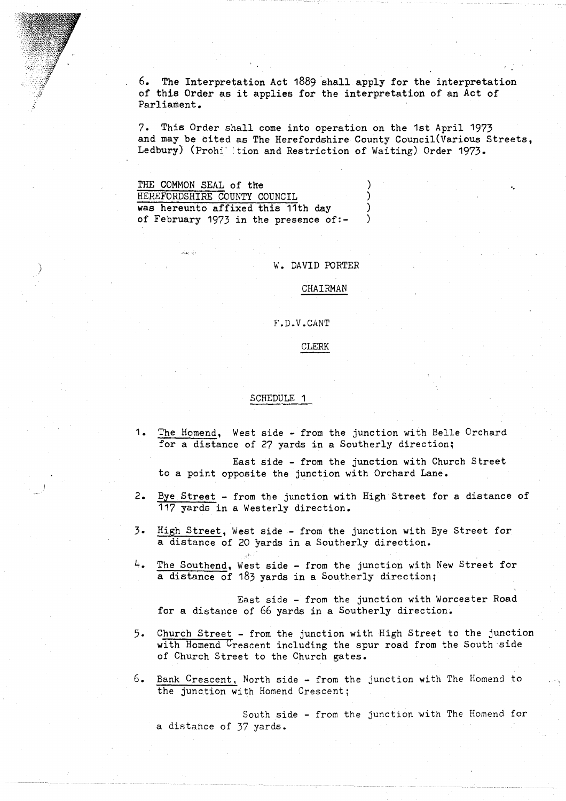6 . The Interpretation Act 1889 shall apply for the interpretation of this Order as it applies for the interpretation of an Act of Parliament .

7. This Order shall come into operation on the 1st April 1973 and may be cited as The Herefordshire County Council(Various Streets, Ledbury) (Prohi ition and Restriction of Waiting) Order 1973.

| THE COMMON SEAL of the                |  |
|---------------------------------------|--|
| HEREFORDSHIRE COUNTY COUNCIL          |  |
| was hereunto affixed this 11th day    |  |
| of February 1973 in the presence of:- |  |

W . DAVID PORTER

CHAIRMAN

F .D .V .CANT

CLERK

## SCHEDULE <sup>1</sup>

1. The Homend, West side - from the junction with Belle Orchard for a distance of 27 yards in a Southerly direction;

East side - from the junction with Church Street to a point opposite the junction with Orchard Lane .

- 2. Bye Street from the junction with High Street for a distance of 117 yards in a Westerly direction.
- 3. High Street, West side from the junction with Bye Street for a distance of 20 yards in a Southerly direction .
- 4. The Southend, West side from the junction with New Street for a distance of 183 yards in a Southerly direction ;

East side - from the junction with Worcester Road for a distance of 66 yards in a Southerly direction.

- 5 . Church Street from the junction with High Street to the junction with Homend Crescent including the spur road from the South side of Church Street to the Church gates .
- <sup>6</sup> . Bank Crescent, North side from the junction with The Homend to the junction with Homend Crescent ;

a distance of 37 yards . South side - from the junction with The Homend for